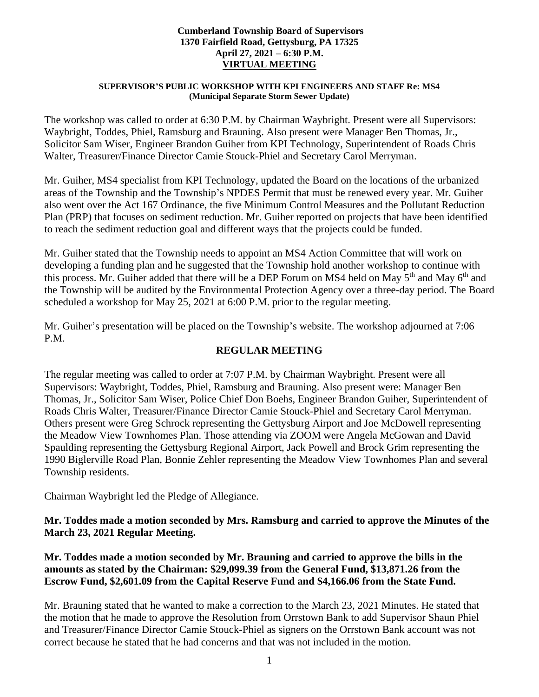#### **Cumberland Township Board of Supervisors 1370 Fairfield Road, Gettysburg, PA 17325 April 27, 2021 – 6:30 P.M. VIRTUAL MEETING**

#### **SUPERVISOR'S PUBLIC WORKSHOP WITH KPI ENGINEERS AND STAFF Re: MS4 (Municipal Separate Storm Sewer Update)**

The workshop was called to order at 6:30 P.M. by Chairman Waybright. Present were all Supervisors: Waybright, Toddes, Phiel, Ramsburg and Brauning. Also present were Manager Ben Thomas, Jr., Solicitor Sam Wiser, Engineer Brandon Guiher from KPI Technology, Superintendent of Roads Chris Walter, Treasurer/Finance Director Camie Stouck-Phiel and Secretary Carol Merryman.

Mr. Guiher, MS4 specialist from KPI Technology, updated the Board on the locations of the urbanized areas of the Township and the Township's NPDES Permit that must be renewed every year. Mr. Guiher also went over the Act 167 Ordinance, the five Minimum Control Measures and the Pollutant Reduction Plan (PRP) that focuses on sediment reduction. Mr. Guiher reported on projects that have been identified to reach the sediment reduction goal and different ways that the projects could be funded.

Mr. Guiher stated that the Township needs to appoint an MS4 Action Committee that will work on developing a funding plan and he suggested that the Township hold another workshop to continue with this process. Mr. Guiher added that there will be a DEP Forum on MS4 held on May 5<sup>th</sup> and May 6<sup>th</sup> and the Township will be audited by the Environmental Protection Agency over a three-day period. The Board scheduled a workshop for May 25, 2021 at 6:00 P.M. prior to the regular meeting.

Mr. Guiher's presentation will be placed on the Township's website. The workshop adjourned at 7:06 P.M.

# **REGULAR MEETING**

The regular meeting was called to order at 7:07 P.M. by Chairman Waybright. Present were all Supervisors: Waybright, Toddes, Phiel, Ramsburg and Brauning. Also present were: Manager Ben Thomas, Jr., Solicitor Sam Wiser, Police Chief Don Boehs, Engineer Brandon Guiher, Superintendent of Roads Chris Walter, Treasurer/Finance Director Camie Stouck-Phiel and Secretary Carol Merryman. Others present were Greg Schrock representing the Gettysburg Airport and Joe McDowell representing the Meadow View Townhomes Plan. Those attending via ZOOM were Angela McGowan and David Spaulding representing the Gettysburg Regional Airport, Jack Powell and Brock Grim representing the 1990 Biglerville Road Plan, Bonnie Zehler representing the Meadow View Townhomes Plan and several Township residents.

Chairman Waybright led the Pledge of Allegiance.

# **Mr. Toddes made a motion seconded by Mrs. Ramsburg and carried to approve the Minutes of the March 23, 2021 Regular Meeting.**

**Mr. Toddes made a motion seconded by Mr. Brauning and carried to approve the bills in the amounts as stated by the Chairman: \$29,099.39 from the General Fund, \$13,871.26 from the Escrow Fund, \$2,601.09 from the Capital Reserve Fund and \$4,166.06 from the State Fund.**

Mr. Brauning stated that he wanted to make a correction to the March 23, 2021 Minutes. He stated that the motion that he made to approve the Resolution from Orrstown Bank to add Supervisor Shaun Phiel and Treasurer/Finance Director Camie Stouck-Phiel as signers on the Orrstown Bank account was not correct because he stated that he had concerns and that was not included in the motion.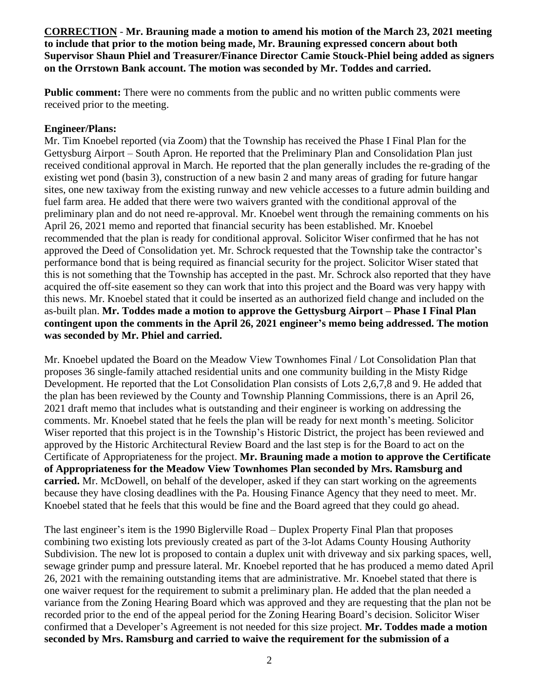**CORRECTION** - **Mr. Brauning made a motion to amend his motion of the March 23, 2021 meeting to include that prior to the motion being made, Mr. Brauning expressed concern about both Supervisor Shaun Phiel and Treasurer/Finance Director Camie Stouck-Phiel being added as signers on the Orrstown Bank account. The motion was seconded by Mr. Toddes and carried.** 

**Public comment:** There were no comments from the public and no written public comments were received prior to the meeting.

### **Engineer/Plans:**

Mr. Tim Knoebel reported (via Zoom) that the Township has received the Phase I Final Plan for the Gettysburg Airport – South Apron. He reported that the Preliminary Plan and Consolidation Plan just received conditional approval in March. He reported that the plan generally includes the re-grading of the existing wet pond (basin 3), construction of a new basin 2 and many areas of grading for future hangar sites, one new taxiway from the existing runway and new vehicle accesses to a future admin building and fuel farm area. He added that there were two waivers granted with the conditional approval of the preliminary plan and do not need re-approval. Mr. Knoebel went through the remaining comments on his April 26, 2021 memo and reported that financial security has been established. Mr. Knoebel recommended that the plan is ready for conditional approval. Solicitor Wiser confirmed that he has not approved the Deed of Consolidation yet. Mr. Schrock requested that the Township take the contractor's performance bond that is being required as financial security for the project. Solicitor Wiser stated that this is not something that the Township has accepted in the past. Mr. Schrock also reported that they have acquired the off-site easement so they can work that into this project and the Board was very happy with this news. Mr. Knoebel stated that it could be inserted as an authorized field change and included on the as-built plan. **Mr. Toddes made a motion to approve the Gettysburg Airport – Phase I Final Plan contingent upon the comments in the April 26, 2021 engineer's memo being addressed. The motion was seconded by Mr. Phiel and carried.** 

Mr. Knoebel updated the Board on the Meadow View Townhomes Final / Lot Consolidation Plan that proposes 36 single-family attached residential units and one community building in the Misty Ridge Development. He reported that the Lot Consolidation Plan consists of Lots 2,6,7,8 and 9. He added that the plan has been reviewed by the County and Township Planning Commissions, there is an April 26, 2021 draft memo that includes what is outstanding and their engineer is working on addressing the comments. Mr. Knoebel stated that he feels the plan will be ready for next month's meeting. Solicitor Wiser reported that this project is in the Township's Historic District, the project has been reviewed and approved by the Historic Architectural Review Board and the last step is for the Board to act on the Certificate of Appropriateness for the project. **Mr. Brauning made a motion to approve the Certificate of Appropriateness for the Meadow View Townhomes Plan seconded by Mrs. Ramsburg and carried.** Mr. McDowell, on behalf of the developer, asked if they can start working on the agreements because they have closing deadlines with the Pa. Housing Finance Agency that they need to meet. Mr. Knoebel stated that he feels that this would be fine and the Board agreed that they could go ahead.

The last engineer's item is the 1990 Biglerville Road – Duplex Property Final Plan that proposes combining two existing lots previously created as part of the 3-lot Adams County Housing Authority Subdivision. The new lot is proposed to contain a duplex unit with driveway and six parking spaces, well, sewage grinder pump and pressure lateral. Mr. Knoebel reported that he has produced a memo dated April 26, 2021 with the remaining outstanding items that are administrative. Mr. Knoebel stated that there is one waiver request for the requirement to submit a preliminary plan. He added that the plan needed a variance from the Zoning Hearing Board which was approved and they are requesting that the plan not be recorded prior to the end of the appeal period for the Zoning Hearing Board's decision. Solicitor Wiser confirmed that a Developer's Agreement is not needed for this size project. **Mr. Toddes made a motion seconded by Mrs. Ramsburg and carried to waive the requirement for the submission of a**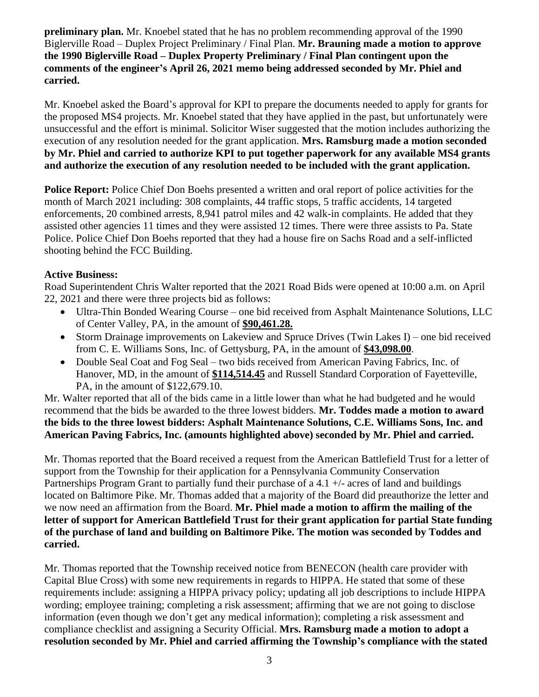**preliminary plan.** Mr. Knoebel stated that he has no problem recommending approval of the 1990 Biglerville Road – Duplex Project Preliminary / Final Plan. **Mr. Brauning made a motion to approve the 1990 Biglerville Road – Duplex Property Preliminary / Final Plan contingent upon the comments of the engineer's April 26, 2021 memo being addressed seconded by Mr. Phiel and carried.** 

Mr. Knoebel asked the Board's approval for KPI to prepare the documents needed to apply for grants for the proposed MS4 projects. Mr. Knoebel stated that they have applied in the past, but unfortunately were unsuccessful and the effort is minimal. Solicitor Wiser suggested that the motion includes authorizing the execution of any resolution needed for the grant application. **Mrs. Ramsburg made a motion seconded by Mr. Phiel and carried to authorize KPI to put together paperwork for any available MS4 grants and authorize the execution of any resolution needed to be included with the grant application.**

**Police Report:** Police Chief Don Boehs presented a written and oral report of police activities for the month of March 2021 including: 308 complaints, 44 traffic stops, 5 traffic accidents, 14 targeted enforcements, 20 combined arrests, 8,941 patrol miles and 42 walk-in complaints. He added that they assisted other agencies 11 times and they were assisted 12 times. There were three assists to Pa. State Police. Police Chief Don Boehs reported that they had a house fire on Sachs Road and a self-inflicted shooting behind the FCC Building.

# **Active Business:**

Road Superintendent Chris Walter reported that the 2021 Road Bids were opened at 10:00 a.m. on April 22, 2021 and there were three projects bid as follows:

- Ultra-Thin Bonded Wearing Course one bid received from Asphalt Maintenance Solutions, LLC of Center Valley, PA, in the amount of **\$90,461.28.**
- Storm Drainage improvements on Lakeview and Spruce Drives (Twin Lakes I) one bid received from C. E. Williams Sons, Inc. of Gettysburg, PA, in the amount of **\$43,098.00**.
- Double Seal Coat and Fog Seal two bids received from American Paving Fabrics, Inc. of Hanover, MD, in the amount of **\$114,514.45** and Russell Standard Corporation of Fayetteville, PA, in the amount of \$122,679.10.

Mr. Walter reported that all of the bids came in a little lower than what he had budgeted and he would recommend that the bids be awarded to the three lowest bidders. **Mr. Toddes made a motion to award the bids to the three lowest bidders: Asphalt Maintenance Solutions, C.E. Williams Sons, Inc. and American Paving Fabrics, Inc. (amounts highlighted above) seconded by Mr. Phiel and carried.** 

Mr. Thomas reported that the Board received a request from the American Battlefield Trust for a letter of support from the Township for their application for a Pennsylvania Community Conservation Partnerships Program Grant to partially fund their purchase of a 4.1 +/- acres of land and buildings located on Baltimore Pike. Mr. Thomas added that a majority of the Board did preauthorize the letter and we now need an affirmation from the Board. **Mr. Phiel made a motion to affirm the mailing of the letter of support for American Battlefield Trust for their grant application for partial State funding of the purchase of land and building on Baltimore Pike. The motion was seconded by Toddes and carried.** 

Mr. Thomas reported that the Township received notice from BENECON (health care provider with Capital Blue Cross) with some new requirements in regards to HIPPA. He stated that some of these requirements include: assigning a HIPPA privacy policy; updating all job descriptions to include HIPPA wording; employee training; completing a risk assessment; affirming that we are not going to disclose information (even though we don't get any medical information); completing a risk assessment and compliance checklist and assigning a Security Official. **Mrs. Ramsburg made a motion to adopt a resolution seconded by Mr. Phiel and carried affirming the Township's compliance with the stated**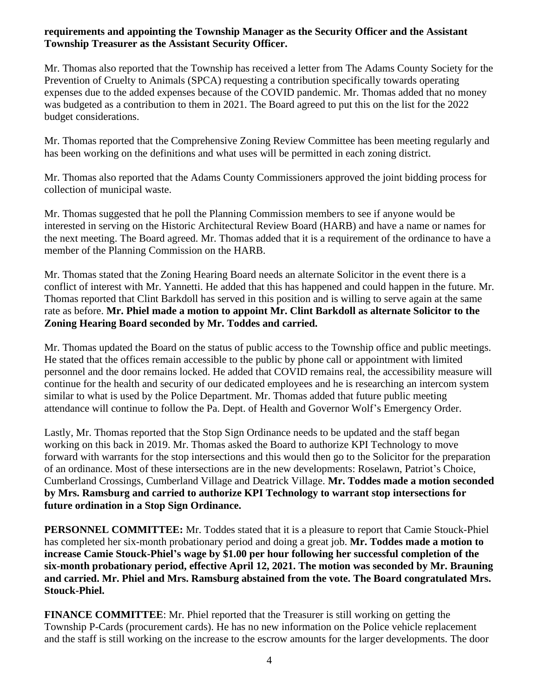# **requirements and appointing the Township Manager as the Security Officer and the Assistant Township Treasurer as the Assistant Security Officer.**

Mr. Thomas also reported that the Township has received a letter from The Adams County Society for the Prevention of Cruelty to Animals (SPCA) requesting a contribution specifically towards operating expenses due to the added expenses because of the COVID pandemic. Mr. Thomas added that no money was budgeted as a contribution to them in 2021. The Board agreed to put this on the list for the 2022 budget considerations.

Mr. Thomas reported that the Comprehensive Zoning Review Committee has been meeting regularly and has been working on the definitions and what uses will be permitted in each zoning district.

Mr. Thomas also reported that the Adams County Commissioners approved the joint bidding process for collection of municipal waste.

Mr. Thomas suggested that he poll the Planning Commission members to see if anyone would be interested in serving on the Historic Architectural Review Board (HARB) and have a name or names for the next meeting. The Board agreed. Mr. Thomas added that it is a requirement of the ordinance to have a member of the Planning Commission on the HARB.

Mr. Thomas stated that the Zoning Hearing Board needs an alternate Solicitor in the event there is a conflict of interest with Mr. Yannetti. He added that this has happened and could happen in the future. Mr. Thomas reported that Clint Barkdoll has served in this position and is willing to serve again at the same rate as before. **Mr. Phiel made a motion to appoint Mr. Clint Barkdoll as alternate Solicitor to the Zoning Hearing Board seconded by Mr. Toddes and carried.**

Mr. Thomas updated the Board on the status of public access to the Township office and public meetings. He stated that the offices remain accessible to the public by phone call or appointment with limited personnel and the door remains locked. He added that COVID remains real, the accessibility measure will continue for the health and security of our dedicated employees and he is researching an intercom system similar to what is used by the Police Department. Mr. Thomas added that future public meeting attendance will continue to follow the Pa. Dept. of Health and Governor Wolf's Emergency Order.

Lastly, Mr. Thomas reported that the Stop Sign Ordinance needs to be updated and the staff began working on this back in 2019. Mr. Thomas asked the Board to authorize KPI Technology to move forward with warrants for the stop intersections and this would then go to the Solicitor for the preparation of an ordinance. Most of these intersections are in the new developments: Roselawn, Patriot's Choice, Cumberland Crossings, Cumberland Village and Deatrick Village. **Mr. Toddes made a motion seconded by Mrs. Ramsburg and carried to authorize KPI Technology to warrant stop intersections for future ordination in a Stop Sign Ordinance.**

**PERSONNEL COMMITTEE:** Mr. Toddes stated that it is a pleasure to report that Camie Stouck-Phiel has completed her six-month probationary period and doing a great job. **Mr. Toddes made a motion to increase Camie Stouck-Phiel's wage by \$1.00 per hour following her successful completion of the six-month probationary period, effective April 12, 2021. The motion was seconded by Mr. Brauning and carried. Mr. Phiel and Mrs. Ramsburg abstained from the vote. The Board congratulated Mrs. Stouck-Phiel.**

**FINANCE COMMITTEE**: Mr. Phiel reported that the Treasurer is still working on getting the Township P-Cards (procurement cards). He has no new information on the Police vehicle replacement and the staff is still working on the increase to the escrow amounts for the larger developments. The door